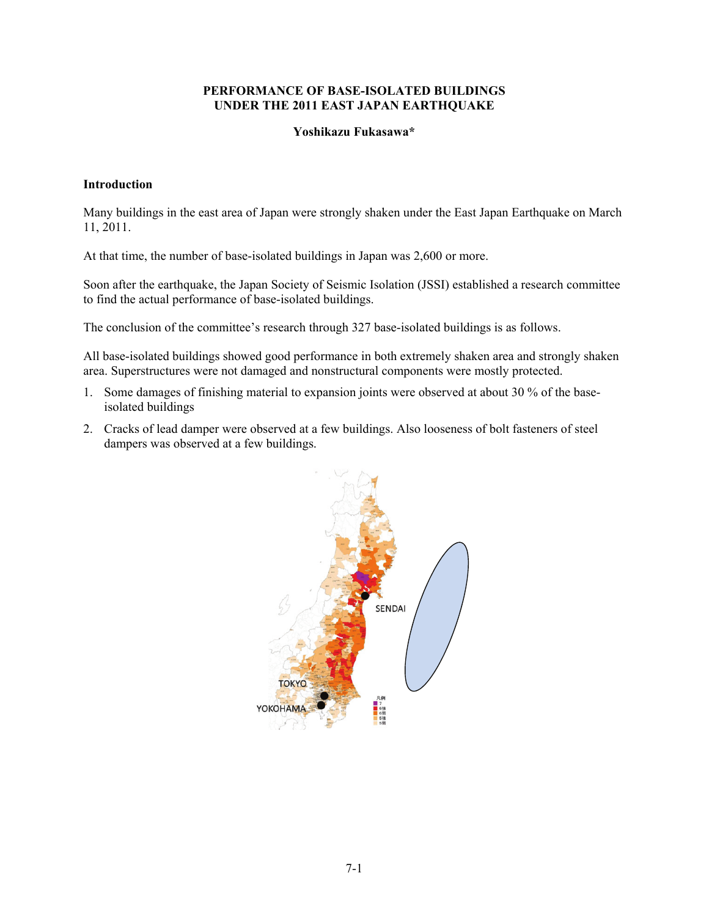## **PERFORMANCE OF BASE-ISOLATED BUILDINGS UNDER THE 2011 EAST JAPAN EARTHQUAKE**

#### **Yoshikazu Fukasawa\***

#### **Introduction**

Many buildings in the east area of Japan were strongly shaken under the East Japan Earthquake on March 11, 2011.

At that time, the number of base-isolated buildings in Japan was 2,600 or more.

Soon after the earthquake, the Japan Society of Seismic Isolation (JSSI) established a research committee to find the actual performance of base-isolated buildings.

The conclusion of the committee's research through 327 base-isolated buildings is as follows.

All base-isolated buildings showed good performance in both extremely shaken area and strongly shaken area. Superstructures were not damaged and nonstructural components were mostly protected.

- 1. Some damages of finishing material to expansion joints were observed at about 30 % of the baseisolated buildings
- 2. Cracks of lead damper were observed at a few buildings. Also looseness of bolt fasteners of steel dampers was observed at a few buildings.

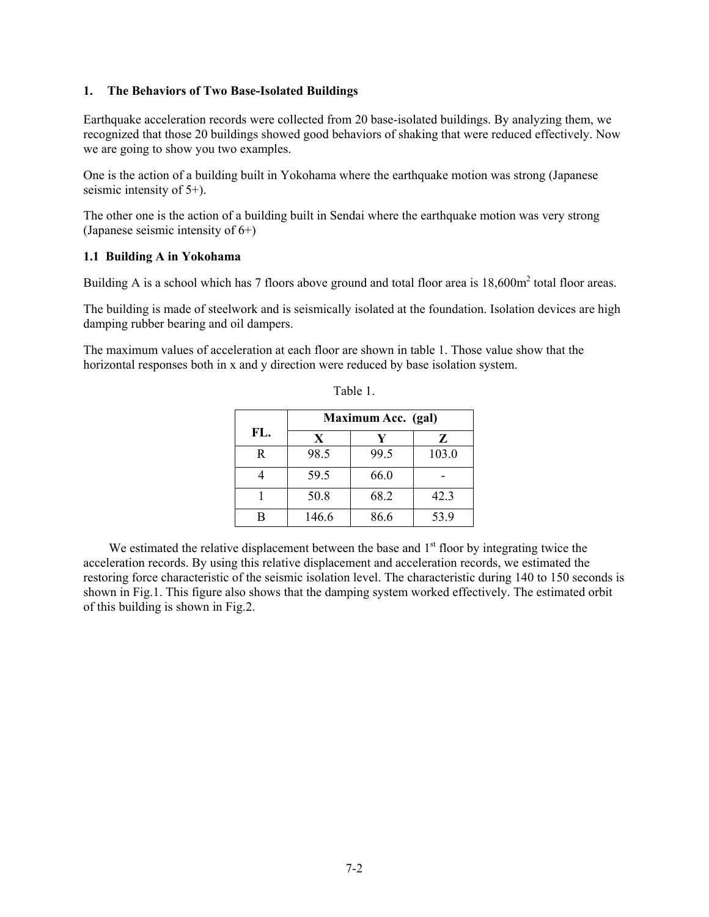## **1. The Behaviors of Two Base-Isolated Buildings**

Earthquake acceleration records were collected from 20 base-isolated buildings. By analyzing them, we recognized that those 20 buildings showed good behaviors of shaking that were reduced effectively. Now we are going to show you two examples.

One is the action of a building built in Yokohama where the earthquake motion was strong (Japanese seismic intensity of 5+).

The other one is the action of a building built in Sendai where the earthquake motion was very strong (Japanese seismic intensity of 6+)

## **1.1 Building A in Yokohama**

Building A is a school which has 7 floors above ground and total floor area is  $18,600m^2$  total floor areas.

The building is made of steelwork and is seismically isolated at the foundation. Isolation devices are high damping rubber bearing and oil dampers.

The maximum values of acceleration at each floor are shown in table 1. Those value show that the horizontal responses both in x and y direction were reduced by base isolation system.

|              | Maximum Acc. (gal) |      |       |  |
|--------------|--------------------|------|-------|--|
| FL.          | X                  | Y    | Z     |  |
| $\mathbf{R}$ | 98.5               | 99.5 | 103.0 |  |
|              | 59.5               | 66.0 |       |  |
|              | 50.8               | 68.2 | 42.3  |  |
|              | 146.6              | 86.6 | 53.9  |  |

| able |  |
|------|--|
|      |  |

We estimated the relative displacement between the base and  $1<sup>st</sup>$  floor by integrating twice the acceleration records. By using this relative displacement and acceleration records, we estimated the restoring force characteristic of the seismic isolation level. The characteristic during 140 to 150 seconds is shown in Fig.1. This figure also shows that the damping system worked effectively. The estimated orbit of this building is shown in Fig.2.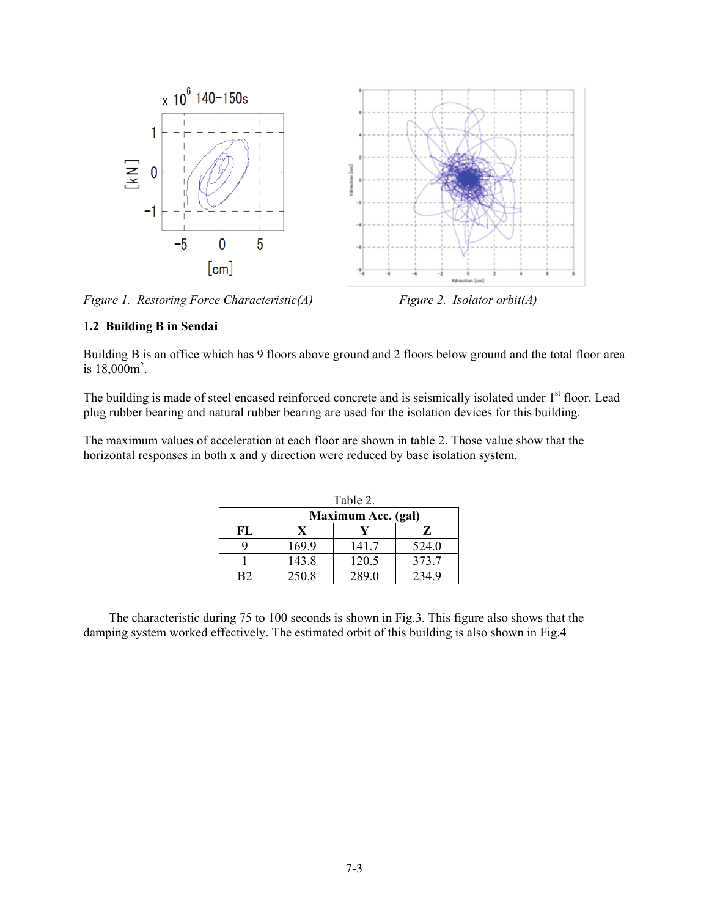

*Figure 1. Restoring Force Characteristic(A)* Figure 2. Isolator orbit(A)

## **1.2 Building B in Sendai**

Building B is an office which has 9 floors above ground and 2 floors below ground and the total floor area is  $18,000m^2$ .

The building is made of steel encased reinforced concrete and is seismically isolated under 1<sup>st</sup> floor. Lead plug rubber bearing and natural rubber bearing are used for the isolation devices for this building.

The maximum values of acceleration at each floor are shown in table 2. Those value show that the horizontal responses in both x and y direction were reduced by base isolation system.

| Table 2. |                    |       |       |  |
|----------|--------------------|-------|-------|--|
|          | Maximum Acc. (gal) |       |       |  |
| FL       | X                  |       | Z     |  |
|          | 169.9              | 141.7 | 524.0 |  |
|          | 143.8              | 120.5 | 373.7 |  |
|          | 250.8              | 289.0 | 2349  |  |

The characteristic during 75 to 100 seconds is shown in Fig.3. This figure also shows that the damping system worked effectively. The estimated orbit of this building is also shown in Fig.4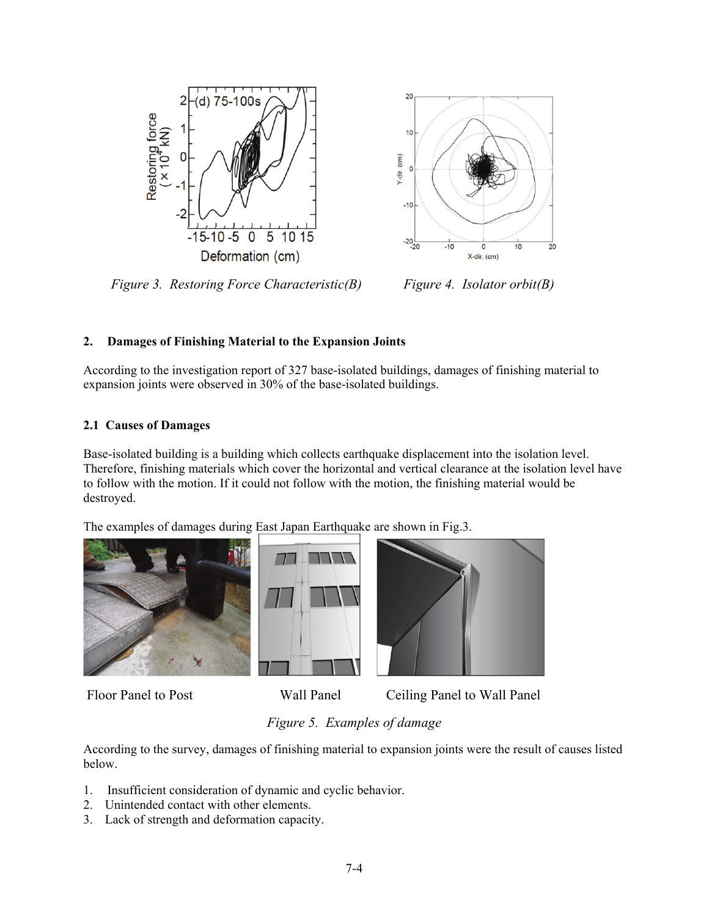



 *Figure 3. Restoring Force Characteristic(B) Figure 4. Isolator orbit(B)* 

# **2. Damages of Finishing Material to the Expansion Joints**

According to the investigation report of 327 base-isolated buildings, damages of finishing material to expansion joints were observed in 30% of the base-isolated buildings.

## **2.1 Causes of Damages**

Base-isolated building is a building which collects earthquake displacement into the isolation level. Therefore, finishing materials which cover the horizontal and vertical clearance at the isolation level have to follow with the motion. If it could not follow with the motion, the finishing material would be destroyed.

The examples of damages during East Japan Earthquake are shown in Fig.3.







Floor Panel to Post Wall Panel Ceiling Panel to Wall Panel

# *Figure 5. Examples of damage*

According to the survey, damages of finishing material to expansion joints were the result of causes listed below.

- 1. Insufficient consideration of dynamic and cyclic behavior.
- 2. Unintended contact with other elements.
- 3. Lack of strength and deformation capacity.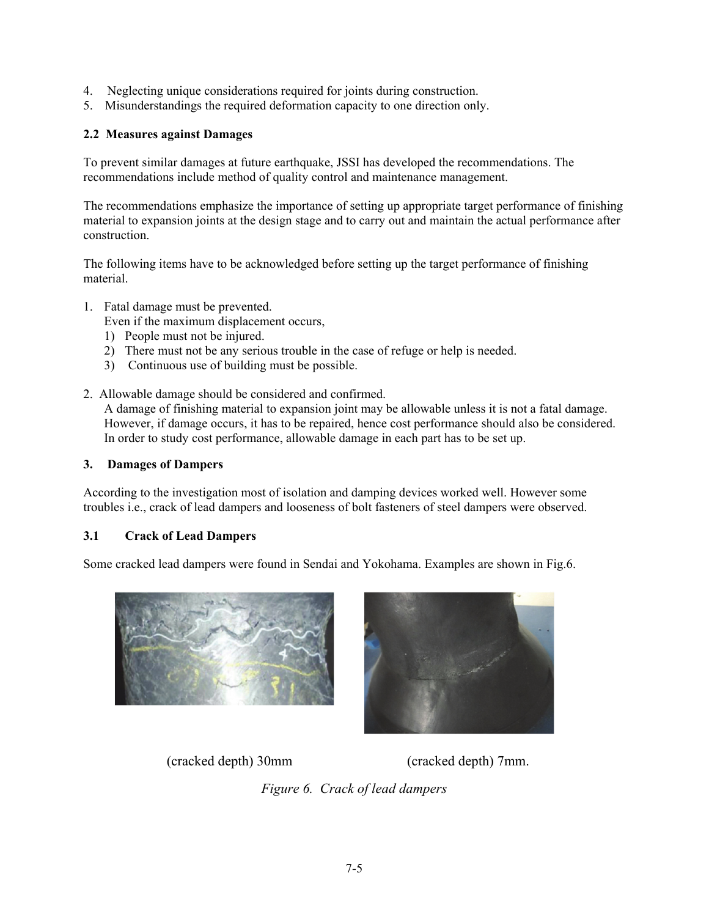- 4. Neglecting unique considerations required for joints during construction.
- 5. Misunderstandings the required deformation capacity to one direction only.

## **2.2 Measures against Damages**

To prevent similar damages at future earthquake, JSSI has developed the recommendations. The recommendations include method of quality control and maintenance management.

The recommendations emphasize the importance of setting up appropriate target performance of finishing material to expansion joints at the design stage and to carry out and maintain the actual performance after construction.

The following items have to be acknowledged before setting up the target performance of finishing material.

- 1. Fatal damage must be prevented.
	- Even if the maximum displacement occurs,
	- 1) People must not be injured.
	- 2) There must not be any serious trouble in the case of refuge or help is needed.
	- 3) Continuous use of building must be possible.
- 2. Allowable damage should be considered and confirmed.

A damage of finishing material to expansion joint may be allowable unless it is not a fatal damage. However, if damage occurs, it has to be repaired, hence cost performance should also be considered. In order to study cost performance, allowable damage in each part has to be set up.

## **3. Damages of Dampers**

According to the investigation most of isolation and damping devices worked well. However some troubles i.e., crack of lead dampers and looseness of bolt fasteners of steel dampers were observed.

## **3.1 Crack of Lead Dampers**

Some cracked lead dampers were found in Sendai and Yokohama. Examples are shown in Fig.6.





(cracked depth) 30mm (cracked depth) 7mm.